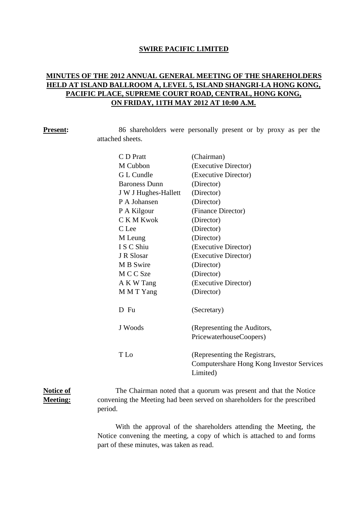### **SWIRE PACIFIC LIMITED**

# **MINUTES OF THE 2012 ANNUAL GENERAL MEETING OF THE SHAREHOLDERS HELD AT ISLAND BALLROOM A, LEVEL 5, ISLAND SHANGRI-LA HONG KONG, PACIFIC PLACE, SUPREME COURT ROAD, CENTRAL, HONG KONG, ON FRIDAY, 11TH MAY 2012 AT 10:00 A.M.**

**Present:** 86 shareholders were personally present or by proxy as per the attached sheets.

| C D Pratt            | (Chairman)                                |
|----------------------|-------------------------------------------|
| M Cubbon             | (Executive Director)                      |
| G L Cundle           | (Executive Director)                      |
| <b>Baroness Dunn</b> | (Director)                                |
| J W J Hughes-Hallett | (Director)                                |
| P A Johansen         | (Director)                                |
| P A Kilgour          | (Finance Director)                        |
| C K M Kwok           | (Director)                                |
| C Lee                | (Director)                                |
| M Leung              | (Director)                                |
| I S C Shiu           | (Executive Director)                      |
| J R Slosar           | (Executive Director)                      |
| M B Swire            | (Director)                                |
| M C C Sze            | (Director)                                |
| A K W Tang           | (Executive Director)                      |
| M M T Yang           | (Director)                                |
|                      |                                           |
| D Fu                 | (Secretary)                               |
|                      |                                           |
| J Woods              | (Representing the Auditors,               |
|                      | PricewaterhouseCoopers)                   |
|                      |                                           |
| T Lo                 | (Representing the Registrars,             |
|                      | Computershare Hong Kong Investor Services |
|                      | Limited)                                  |

## **Notice of Meeting:**

The Chairman noted that a quorum was present and that the Notice convening the Meeting had been served on shareholders for the prescribed period.

With the approval of the shareholders attending the Meeting, the Notice convening the meeting, a copy of which is attached to and forms part of these minutes, was taken as read.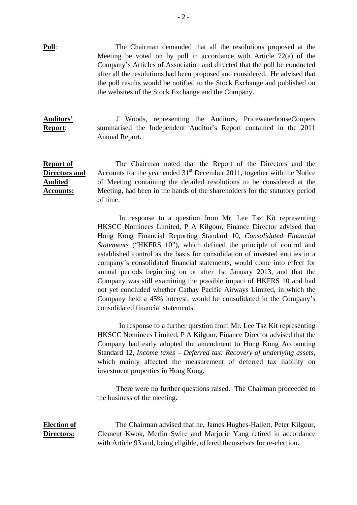**Poll**: The Chairman demanded that all the resolutions proposed at the Meeting be voted on by poll in accordance with Article 72(a) of the Company's Articles of Association and directed that the poll be conducted after all the resolutions had been proposed and considered. He advised that the poll results would be notified to the Stock Exchange and published on the websites of the Stock Exchange and the Company.

**Auditors' Report**: J Woods, representing the Auditors, PricewaterhouseCoopers summarised the Independent Auditor's Report contained in the 2011 Annual Report.

### **Report of Directors and Audited Accounts:** The Chairman noted that the Report of the Directors and the Accounts for the year ended  $31<sup>st</sup>$  December 2011, together with the Notice of Meeting containing the detailed resolutions to be considered at the Meeting, had been in the hands of the shareholders for the statutory period of time.

 In response to a question from Mr. Lee Tsz Kit representing HKSCC Nominees Limited, P A Kilgour, Finance Director advised that Hong Kong Financial Reporting Standard 10, *Consolidated Financial Statements* ("HKFRS 10"), which defined the principle of control and established control as the basis for consolidation of invested entities in a company's consolidated financial statements, would come into effect for annual periods beginning on or after 1st January 2013, and that the Company was still examining the possible impact of HKFRS 10 and had not yet concluded whether Cathay Pacific Airways Limited, in which the Company held a 45% interest, would be consolidated in the Company's consolidated financial statements.

 In response to a further question from Mr. Lee Tsz Kit representing HKSCC Nominees Limited, P A Kilgour, Finance Director advised that the Company had early adopted the amendment to Hong Kong Accounting Standard 12, *Income taxes – Deferred tax: Recovery of underlying assets*, which mainly affected the measurement of deferred tax liability on investment properties in Hong Kong.

There were no further questions raised. The Chairman proceeded to the business of the meeting.

**Election of Directors:** The Chairman advised that he, James Hughes-Hallett, Peter Kilgour, Clement Kwok, Merlin Swire and Marjorie Yang retired in accordance with Article 93 and, being eligible, offered themselves for re-election.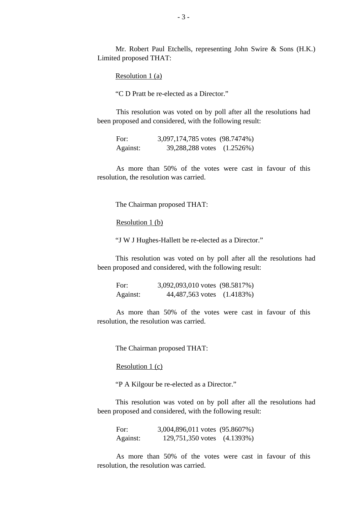Mr. Robert Paul Etchells, representing John Swire & Sons (H.K.) Limited proposed THAT:

Resolution 1 (a)

"C D Pratt be re-elected as a Director."

This resolution was voted on by poll after all the resolutions had been proposed and considered, with the following result:

| For:     | 3,097,174,785 votes (98.7474%) |              |
|----------|--------------------------------|--------------|
| Against: | 39,288,288 votes               | $(1.2526\%)$ |

As more than 50% of the votes were cast in favour of this resolution, the resolution was carried.

The Chairman proposed THAT:

Resolution 1 (b)

"J W J Hughes-Hallett be re-elected as a Director."

This resolution was voted on by poll after all the resolutions had been proposed and considered, with the following result:

For: 3,092,093,010 votes (98.5817%) Against: 44,487,563 votes (1.4183%)

As more than 50% of the votes were cast in favour of this resolution, the resolution was carried.

The Chairman proposed THAT:

Resolution 1 (c)

"P A Kilgour be re-elected as a Director."

This resolution was voted on by poll after all the resolutions had been proposed and considered, with the following result:

For: 3,004,896,011 votes (95.8607%) Against: 129,751,350 votes (4.1393%)

As more than 50% of the votes were cast in favour of this resolution, the resolution was carried.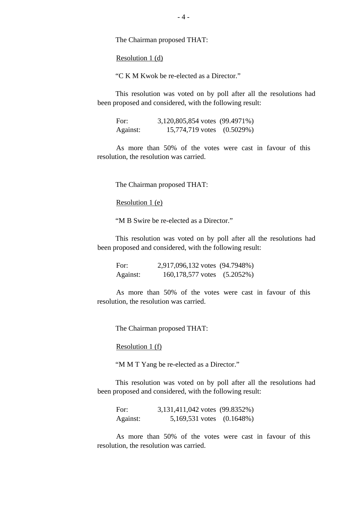The Chairman proposed THAT:

Resolution 1 (d)

"C K M Kwok be re-elected as a Director."

This resolution was voted on by poll after all the resolutions had been proposed and considered, with the following result:

For: 3,120,805,854 votes (99.4971%) Against: 15,774,719 votes (0.5029%)

As more than 50% of the votes were cast in favour of this resolution, the resolution was carried.

The Chairman proposed THAT:

Resolution 1 (e)

"M B Swire be re-elected as a Director."

This resolution was voted on by poll after all the resolutions had been proposed and considered, with the following result:

For: 2,917,096,132 votes (94.7948%) Against: 160,178,577 votes (5.2052%)

As more than 50% of the votes were cast in favour of this resolution, the resolution was carried.

The Chairman proposed THAT:

Resolution 1 (f)

"M M T Yang be re-elected as a Director."

This resolution was voted on by poll after all the resolutions had been proposed and considered, with the following result:

For: 3,131,411,042 votes (99.8352%) Against: 5,169,531 votes (0.1648%)

As more than 50% of the votes were cast in favour of this resolution, the resolution was carried.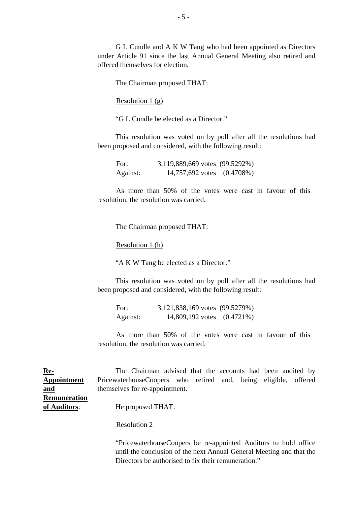G L Cundle and A K W Tang who had been appointed as Directors under Article 91 since the last Annual General Meeting also retired and offered themselves for election.

The Chairman proposed THAT:

Resolution 1 (g)

"G L Cundle be elected as a Director."

This resolution was voted on by poll after all the resolutions had been proposed and considered, with the following result:

| For:     | 3,119,889,669 votes (99.5292%) |  |
|----------|--------------------------------|--|
| Against: | 14,757,692 votes (0.4708%)     |  |

As more than 50% of the votes were cast in favour of this resolution, the resolution was carried.

The Chairman proposed THAT:

Resolution 1 (h)

"A K W Tang be elected as a Director."

 This resolution was voted on by poll after all the resolutions had been proposed and considered, with the following result:

| For:     | 3,121,838,169 votes (99.5279%) |  |
|----------|--------------------------------|--|
| Against: | 14,809,192 votes (0.4721%)     |  |

 As more than 50% of the votes were cast in favour of this resolution, the resolution was carried.

**Re-Appointment and Remuneration of Auditors**: The Chairman advised that the accounts had been audited by PricewaterhouseCoopers who retired and, being eligible, offered themselves for re-appointment. He proposed THAT:

Resolution 2

 "PricewaterhouseCoopers be re-appointed Auditors to hold office until the conclusion of the next Annual General Meeting and that the Directors be authorised to fix their remuneration."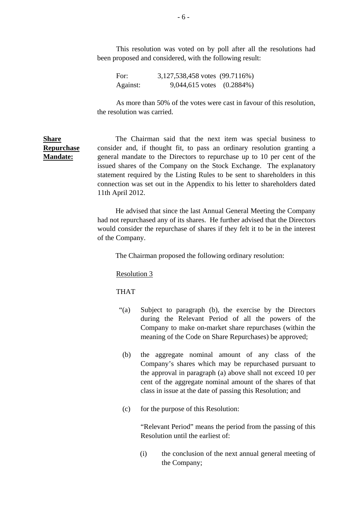This resolution was voted on by poll after all the resolutions had been proposed and considered, with the following result:

For: 3,127,538,458 votes (99.7116%) Against: 9,044,615 votes (0.2884%)

 As more than 50% of the votes were cast in favour of this resolution, the resolution was carried.

**Share Repurchase Mandate:** The Chairman said that the next item was special business to consider and, if thought fit, to pass an ordinary resolution granting a general mandate to the Directors to repurchase up to 10 per cent of the issued shares of the Company on the Stock Exchange. The explanatory statement required by the Listing Rules to be sent to shareholders in this connection was set out in the Appendix to his letter to shareholders dated 11th April 2012.

> He advised that since the last Annual General Meeting the Company had not repurchased any of its shares. He further advised that the Directors would consider the repurchase of shares if they felt it to be in the interest of the Company.

The Chairman proposed the following ordinary resolution:

### Resolution 3

### THAT

- "(a) Subject to paragraph (b), the exercise by the Directors during the Relevant Period of all the powers of the Company to make on-market share repurchases (within the meaning of the Code on Share Repurchases) be approved;
- (b) the aggregate nominal amount of any class of the Company's shares which may be repurchased pursuant to the approval in paragraph (a) above shall not exceed 10 per cent of the aggregate nominal amount of the shares of that class in issue at the date of passing this Resolution; and
- (c) for the purpose of this Resolution:

 "Relevant Period" means the period from the passing of this Resolution until the earliest of:

 (i) the conclusion of the next annual general meeting of the Company;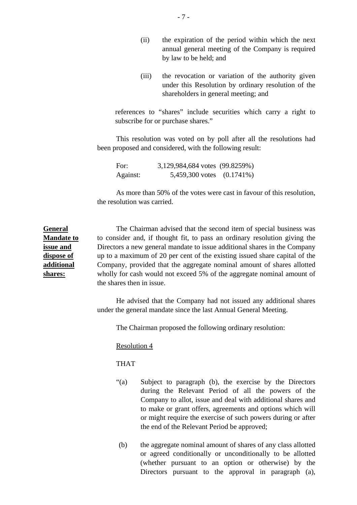- (ii) the expiration of the period within which the next annual general meeting of the Company is required by law to be held; and
- (iii) the revocation or variation of the authority given under this Resolution by ordinary resolution of the shareholders in general meeting; and

references to "shares" include securities which carry a right to subscribe for or purchase shares."

This resolution was voted on by poll after all the resolutions had been proposed and considered, with the following result:

For: 3,129,984,684 votes (99.8259%) Against: 5,459,300 votes (0.1741%)

As more than 50% of the votes were cast in favour of this resolution, the resolution was carried.

**Mandate to issue and dispose of additional**  The Chairman advised that the second item of special business was to consider and, if thought fit, to pass an ordinary resolution giving the Directors a new general mandate to issue additional shares in the Company up to a maximum of 20 per cent of the existing issued share capital of the Company, provided that the aggregate nominal amount of shares allotted wholly for cash would not exceed 5% of the aggregate nominal amount of the shares then in issue.

> He advised that the Company had not issued any additional shares under the general mandate since the last Annual General Meeting.

The Chairman proposed the following ordinary resolution:

Resolution 4

THAT

**General** 

**shares:**

- "(a) Subject to paragraph (b), the exercise by the Directors during the Relevant Period of all the powers of the Company to allot, issue and deal with additional shares and to make or grant offers, agreements and options which will or might require the exercise of such powers during or after the end of the Relevant Period be approved;
- (b) the aggregate nominal amount of shares of any class allotted or agreed conditionally or unconditionally to be allotted (whether pursuant to an option or otherwise) by the Directors pursuant to the approval in paragraph (a),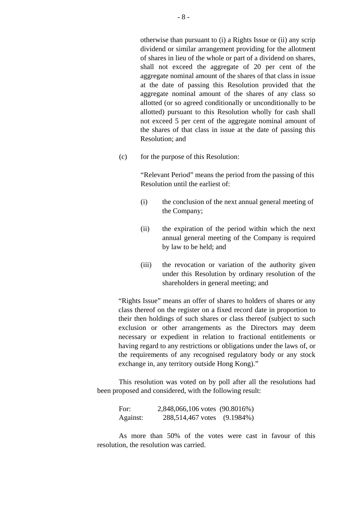otherwise than pursuant to (i) a Rights Issue or (ii) any scrip dividend or similar arrangement providing for the allotment of shares in lieu of the whole or part of a dividend on shares, shall not exceed the aggregate of 20 per cent of the aggregate nominal amount of the shares of that class in issue at the date of passing this Resolution provided that the aggregate nominal amount of the shares of any class so allotted (or so agreed conditionally or unconditionally to be allotted) pursuant to this Resolution wholly for cash shall not exceed 5 per cent of the aggregate nominal amount of the shares of that class in issue at the date of passing this Resolution; and

(c) for the purpose of this Resolution:

"Relevant Period" means the period from the passing of this Resolution until the earliest of:

- (i) the conclusion of the next annual general meeting of the Company;
- (ii) the expiration of the period within which the next annual general meeting of the Company is required by law to be held; and
- (iii) the revocation or variation of the authority given under this Resolution by ordinary resolution of the shareholders in general meeting; and

"Rights Issue" means an offer of shares to holders of shares or any class thereof on the register on a fixed record date in proportion to their then holdings of such shares or class thereof (subject to such exclusion or other arrangements as the Directors may deem necessary or expedient in relation to fractional entitlements or having regard to any restrictions or obligations under the laws of, or the requirements of any recognised regulatory body or any stock exchange in, any territory outside Hong Kong)."

This resolution was voted on by poll after all the resolutions had been proposed and considered, with the following result:

For: 2,848,066,106 votes (90.8016%) Against: 288,514,467 votes (9.1984%)

As more than 50% of the votes were cast in favour of this resolution, the resolution was carried.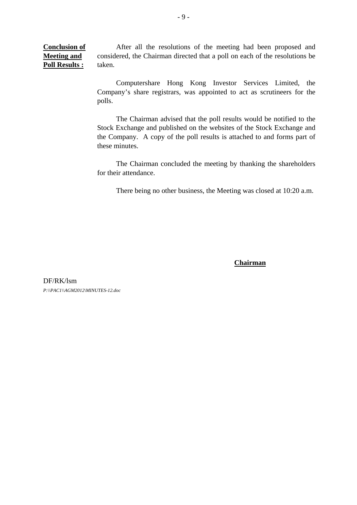**Conclusion of Meeting and Poll Results :** After all the resolutions of the meeting had been proposed and considered, the Chairman directed that a poll on each of the resolutions be taken.

> Computershare Hong Kong Investor Services Limited, the Company's share registrars, was appointed to act as scrutineers for the polls.

> The Chairman advised that the poll results would be notified to the Stock Exchange and published on the websites of the Stock Exchange and the Company. A copy of the poll results is attached to and forms part of these minutes.

> The Chairman concluded the meeting by thanking the shareholders for their attendance.

There being no other business, the Meeting was closed at 10:20 a.m.

**Chairman**

DF/RK/lsm *P:\\PAC1\\AGM2012\MINUTES-12.doc*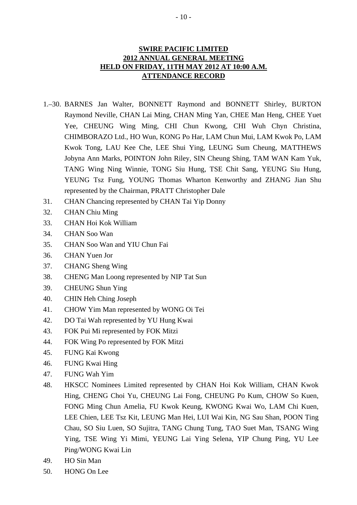# **SWIRE PACIFIC LIMITED 2012 ANNUAL GENERAL MEETING HELD ON FRIDAY, 11TH MAY 2012 AT 10:00 A.M. ATTENDANCE RECORD**

- 1.–30. BARNES Jan Walter, BONNETT Raymond and BONNETT Shirley, BURTON Raymond Neville, CHAN Lai Ming, CHAN Ming Yan, CHEE Man Heng, CHEE Yuet Yee, CHEUNG Wing Ming, CHI Chun Kwong, CHI Wuh Chyn Christina, CHIMBORAZO Ltd., HO Wun, KONG Po Har, LAM Chun Mui, LAM Kwok Po, LAM Kwok Tong, LAU Kee Che, LEE Shui Ying, LEUNG Sum Cheung, MATTHEWS Jobyna Ann Marks, POINTON John Riley, SIN Cheung Shing, TAM WAN Kam Yuk, TANG Wing Ning Winnie, TONG Siu Hung, TSE Chit Sang, YEUNG Siu Hung, YEUNG Tsz Fung, YOUNG Thomas Wharton Kenworthy and ZHANG Jian Shu represented by the Chairman, PRATT Christopher Dale
- 31. CHAN Chancing represented by CHAN Tai Yip Donny
- 32. CHAN Chiu Ming
- 33. CHAN Hoi Kok William
- 34. CHAN Soo Wan
- 35. CHAN Soo Wan and YIU Chun Fai
- 36. CHAN Yuen Jor
- 37. CHANG Sheng Wing
- 38. CHENG Man Loong represented by NIP Tat Sun
- 39. CHEUNG Shun Ying
- 40. CHIN Heh Ching Joseph
- 41. CHOW Yim Man represented by WONG Oi Tei
- 42. DO Tai Wah represented by YU Hung Kwai
- 43. FOK Pui Mi represented by FOK Mitzi
- 44. FOK Wing Po represented by FOK Mitzi
- 45. FUNG Kai Kwong
- 46. FUNG Kwai Hing
- 47. FUNG Wah Yim
- 48. HKSCC Nominees Limited represented by CHAN Hoi Kok William, CHAN Kwok Hing, CHENG Choi Yu, CHEUNG Lai Fong, CHEUNG Po Kum, CHOW So Kuen, FONG Ming Chun Amelia, FU Kwok Keung, KWONG Kwai Wo, LAM Chi Kuen, LEE Chien, LEE Tsz Kit, LEUNG Man Hei, LUI Wai Kin, NG Sau Shan, POON Ting Chau, SO Siu Luen, SO Sujitra, TANG Chung Tung, TAO Suet Man, TSANG Wing Ying, TSE Wing Yi Mimi, YEUNG Lai Ying Selena, YIP Chung Ping, YU Lee Ping/WONG Kwai Lin
- 49. HO Sin Man
- 50. HONG On Lee